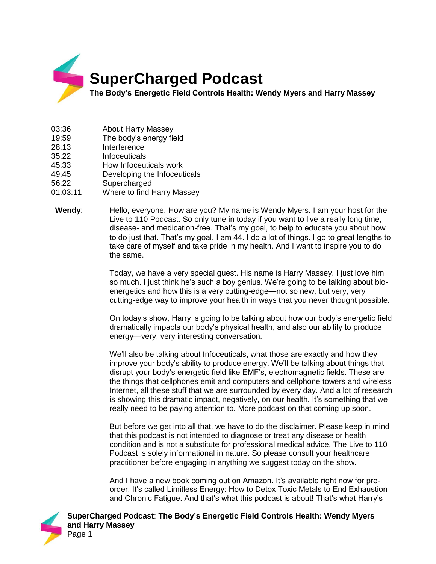

- 03:36 About Harry Massey
- 19:59 The body's energy field
- 28:13 Interference
- 35:22 Infoceuticals
- 45:33 How Infoceuticals work
- 49:45 Developing the Infoceuticals
- 56:22 Supercharged
- 01:03:11 Where to find Harry Massey
- **Wendy**: Hello, everyone. How are you? My name is Wendy Myers. I am your host for the Live to 110 Podcast. So only tune in today if you want to live a really long time, disease- and medication-free. That's my goal, to help to educate you about how to do just that. That's my goal. I am 44. I do a lot of things. I go to great lengths to take care of myself and take pride in my health. And I want to inspire you to do the same.

Today, we have a very special guest. His name is Harry Massey. I just love him so much. I just think he's such a boy genius. We're going to be talking about bioenergetics and how this is a very cutting-edge—not so new, but very, very cutting-edge way to improve your health in ways that you never thought possible.

On today's show, Harry is going to be talking about how our body's energetic field dramatically impacts our body's physical health, and also our ability to produce energy—very, very interesting conversation.

We'll also be talking about Infoceuticals, what those are exactly and how they improve your body's ability to produce energy. We'll be talking about things that disrupt your body's energetic field like EMF's, electromagnetic fields. These are the things that cellphones emit and computers and cellphone towers and wireless Internet, all these stuff that we are surrounded by every day. And a lot of research is showing this dramatic impact, negatively, on our health. It's something that we really need to be paying attention to. More podcast on that coming up soon.

But before we get into all that, we have to do the disclaimer. Please keep in mind that this podcast is not intended to diagnose or treat any disease or health condition and is not a substitute for professional medical advice. The Live to 110 Podcast is solely informational in nature. So please consult your healthcare practitioner before engaging in anything we suggest today on the show.

And I have a new book coming out on Amazon. It's available right now for preorder. It's called Limitless Energy: How to Detox Toxic Metals to End Exhaustion and Chronic Fatigue. And that's what this podcast is about! That's what Harry's

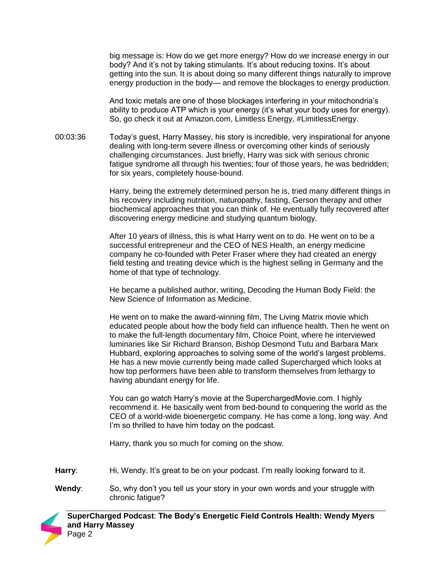big message is: How do we get more energy? How do we increase energy in our body? And it's not by taking stimulants. It's about reducing toxins. It's about getting into the sun. It is about doing so many different things naturally to improve energy production in the body— and remove the blockages to energy production.

And toxic metals are one of those blockages interfering in your mitochondria's ability to produce ATP which is your energy (it's what your body uses for energy). So, go check it out at Amazon.com, Limitless Energy, #LimitlessEnergy.

00:03:36 Today's guest, Harry Massey, his story is incredible, very inspirational for anyone dealing with long-term severe illness or overcoming other kinds of seriously challenging circumstances. Just briefly, Harry was sick with serious chronic fatigue syndrome all through his twenties; four of those years, he was bedridden; for six years, completely house-bound.

> Harry, being the extremely determined person he is, tried many different things in his recovery including nutrition, naturopathy, fasting, Gerson therapy and other biochemical approaches that you can think of. He eventually fully recovered after discovering energy medicine and studying quantum biology.

After 10 years of illness, this is what Harry went on to do. He went on to be a successful entrepreneur and the CEO of NES Health, an energy medicine company he co-founded with Peter Fraser where they had created an energy field testing and treating device which is the highest selling in Germany and the home of that type of technology.

He became a published author, writing, Decoding the Human Body Field: the New Science of Information as Medicine.

He went on to make the award-winning film, The Living Matrix movie which educated people about how the body field can influence health. Then he went on to make the full-length documentary film, Choice Point, where he interviewed luminaries like Sir Richard Branson, Bishop Desmond Tutu and Barbara Marx Hubbard, exploring approaches to solving some of the world's largest problems. He has a new movie currently being made called Supercharged which looks at how top performers have been able to transform themselves from lethargy to having abundant energy for life.

You can go watch Harry's movie at the SuperchargedMovie.com. I highly recommend it. He basically went from bed-bound to conquering the world as the CEO of a world-wide bioenergetic company. He has come a long, long way. And I'm so thrilled to have him today on the podcast.

Harry, thank you so much for coming on the show.

Harry: Hi, Wendy. It's great to be on your podcast. I'm really looking forward to it.

**Wendy:** So, why don't you tell us your story in your own words and your struggle with chronic fatigue?

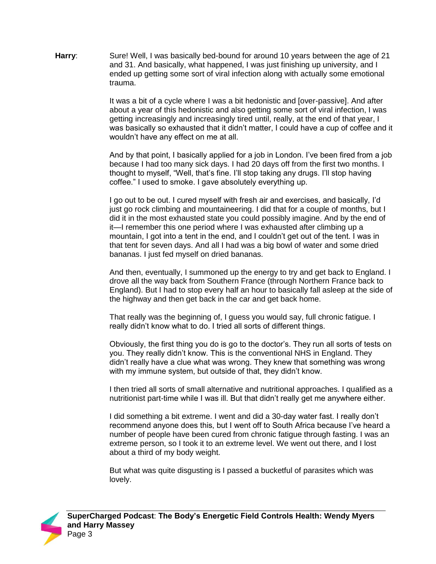**Harry:** Sure! Well, I was basically bed-bound for around 10 years between the age of 21 and 31. And basically, what happened, I was just finishing up university, and I ended up getting some sort of viral infection along with actually some emotional trauma.

> It was a bit of a cycle where I was a bit hedonistic and [over-passive]. And after about a year of this hedonistic and also getting some sort of viral infection, I was getting increasingly and increasingly tired until, really, at the end of that year, I was basically so exhausted that it didn't matter, I could have a cup of coffee and it wouldn't have any effect on me at all.

> And by that point, I basically applied for a job in London. I've been fired from a job because I had too many sick days. I had 20 days off from the first two months. I thought to myself, "Well, that's fine. I'll stop taking any drugs. I'll stop having coffee." I used to smoke. I gave absolutely everything up.

I go out to be out. I cured myself with fresh air and exercises, and basically, I'd just go rock climbing and mountaineering. I did that for a couple of months, but I did it in the most exhausted state you could possibly imagine. And by the end of it—I remember this one period where I was exhausted after climbing up a mountain, I got into a tent in the end, and I couldn't get out of the tent. I was in that tent for seven days. And all I had was a big bowl of water and some dried bananas. I just fed myself on dried bananas.

And then, eventually, I summoned up the energy to try and get back to England. I drove all the way back from Southern France (through Northern France back to England). But I had to stop every half an hour to basically fall asleep at the side of the highway and then get back in the car and get back home.

That really was the beginning of, I guess you would say, full chronic fatigue. I really didn't know what to do. I tried all sorts of different things.

Obviously, the first thing you do is go to the doctor's. They run all sorts of tests on you. They really didn't know. This is the conventional NHS in England. They didn't really have a clue what was wrong. They knew that something was wrong with my immune system, but outside of that, they didn't know.

I then tried all sorts of small alternative and nutritional approaches. I qualified as a nutritionist part-time while I was ill. But that didn't really get me anywhere either.

I did something a bit extreme. I went and did a 30-day water fast. I really don't recommend anyone does this, but I went off to South Africa because I've heard a number of people have been cured from chronic fatigue through fasting. I was an extreme person, so I took it to an extreme level. We went out there, and I lost about a third of my body weight.

But what was quite disgusting is I passed a bucketful of parasites which was lovely.

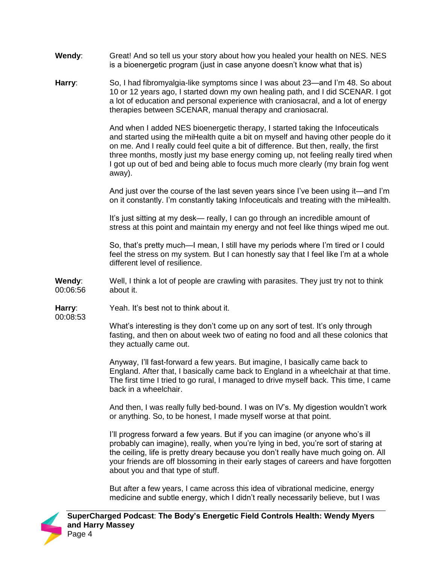- **Wendy**: Great! And so tell us your story about how you healed your health on NES. NES is a bioenergetic program (just in case anyone doesn't know what that is)
- **Harry**: So, I had fibromyalgia-like symptoms since I was about 23—and I'm 48. So about 10 or 12 years ago, I started down my own healing path, and I did SCENAR. I got a lot of education and personal experience with craniosacral, and a lot of energy therapies between SCENAR, manual therapy and craniosacral.

And when I added NES bioenergetic therapy, I started taking the Infoceuticals and started using the miHealth quite a bit on myself and having other people do it on me. And I really could feel quite a bit of difference. But then, really, the first three months, mostly just my base energy coming up, not feeling really tired when I got up out of bed and being able to focus much more clearly (my brain fog went away).

And just over the course of the last seven years since I've been using it—and I'm on it constantly. I'm constantly taking Infoceuticals and treating with the miHealth.

It's just sitting at my desk— really, I can go through an incredible amount of stress at this point and maintain my energy and not feel like things wiped me out.

So, that's pretty much—I mean, I still have my periods where I'm tired or I could feel the stress on my system. But I can honestly say that I feel like I'm at a whole different level of resilience.

**Wendy**: 00:06:56 Well, I think a lot of people are crawling with parasites. They just try not to think about it.

**Harry**: 00:08:53 Yeah. It's best not to think about it.

What's interesting is they don't come up on any sort of test. It's only through fasting, and then on about week two of eating no food and all these colonics that they actually came out.

Anyway, I'll fast-forward a few years. But imagine, I basically came back to England. After that, I basically came back to England in a wheelchair at that time. The first time I tried to go rural, I managed to drive myself back. This time, I came back in a wheelchair.

And then, I was really fully bed-bound. I was on IV's. My digestion wouldn't work or anything. So, to be honest, I made myself worse at that point.

I'll progress forward a few years. But if you can imagine (or anyone who's ill probably can imagine), really, when you're lying in bed, you're sort of staring at the ceiling, life is pretty dreary because you don't really have much going on. All your friends are off blossoming in their early stages of careers and have forgotten about you and that type of stuff.

But after a few years, I came across this idea of vibrational medicine, energy medicine and subtle energy, which I didn't really necessarily believe, but I was

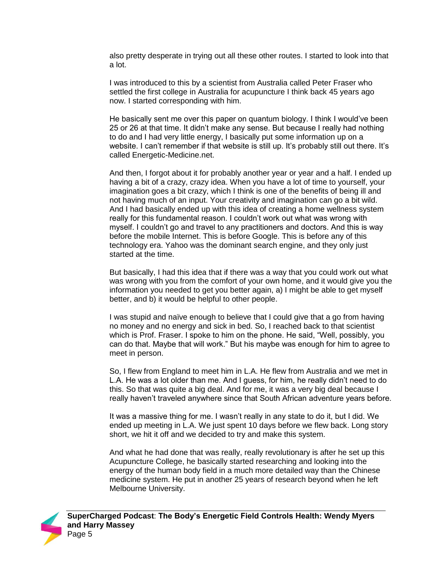also pretty desperate in trying out all these other routes. I started to look into that a lot.

I was introduced to this by a scientist from Australia called Peter Fraser who settled the first college in Australia for acupuncture I think back 45 years ago now. I started corresponding with him.

He basically sent me over this paper on quantum biology. I think I would've been 25 or 26 at that time. It didn't make any sense. But because I really had nothing to do and I had very little energy, I basically put some information up on a website. I can't remember if that website is still up. It's probably still out there. It's called Energetic-Medicine.net.

And then, I forgot about it for probably another year or year and a half. I ended up having a bit of a crazy, crazy idea. When you have a lot of time to yourself, your imagination goes a bit crazy, which I think is one of the benefits of being ill and not having much of an input. Your creativity and imagination can go a bit wild. And I had basically ended up with this idea of creating a home wellness system really for this fundamental reason. I couldn't work out what was wrong with myself. I couldn't go and travel to any practitioners and doctors. And this is way before the mobile Internet. This is before Google. This is before any of this technology era. Yahoo was the dominant search engine, and they only just started at the time.

But basically, I had this idea that if there was a way that you could work out what was wrong with you from the comfort of your own home, and it would give you the information you needed to get you better again, a) I might be able to get myself better, and b) it would be helpful to other people.

I was stupid and naïve enough to believe that I could give that a go from having no money and no energy and sick in bed. So, I reached back to that scientist which is Prof. Fraser. I spoke to him on the phone. He said, "Well, possibly, you can do that. Maybe that will work." But his maybe was enough for him to agree to meet in person.

So, I flew from England to meet him in L.A. He flew from Australia and we met in L.A. He was a lot older than me. And I guess, for him, he really didn't need to do this. So that was quite a big deal. And for me, it was a very big deal because I really haven't traveled anywhere since that South African adventure years before.

It was a massive thing for me. I wasn't really in any state to do it, but I did. We ended up meeting in L.A. We just spent 10 days before we flew back. Long story short, we hit it off and we decided to try and make this system.

And what he had done that was really, really revolutionary is after he set up this Acupuncture College, he basically started researching and looking into the energy of the human body field in a much more detailed way than the Chinese medicine system. He put in another 25 years of research beyond when he left Melbourne University.

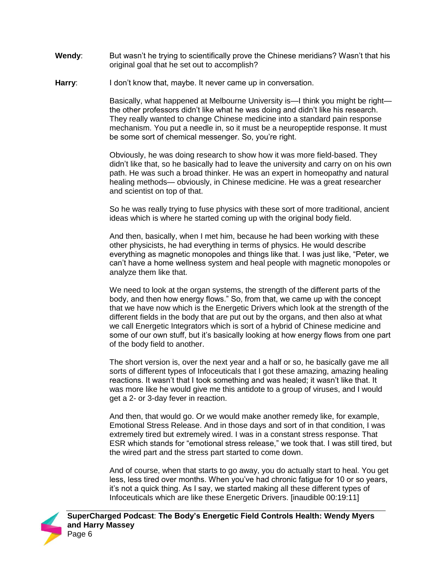- **Wendy:** But wasn't he trying to scientifically prove the Chinese meridians? Wasn't that his original goal that he set out to accomplish?
- **Harry:** I don't know that, maybe. It never came up in conversation.

Basically, what happened at Melbourne University is—I think you might be right the other professors didn't like what he was doing and didn't like his research. They really wanted to change Chinese medicine into a standard pain response mechanism. You put a needle in, so it must be a neuropeptide response. It must be some sort of chemical messenger. So, you're right.

Obviously, he was doing research to show how it was more field-based. They didn't like that, so he basically had to leave the university and carry on on his own path. He was such a broad thinker. He was an expert in homeopathy and natural healing methods— obviously, in Chinese medicine. He was a great researcher and scientist on top of that.

So he was really trying to fuse physics with these sort of more traditional, ancient ideas which is where he started coming up with the original body field.

And then, basically, when I met him, because he had been working with these other physicists, he had everything in terms of physics. He would describe everything as magnetic monopoles and things like that. I was just like, "Peter, we can't have a home wellness system and heal people with magnetic monopoles or analyze them like that.

We need to look at the organ systems, the strength of the different parts of the body, and then how energy flows." So, from that, we came up with the concept that we have now which is the Energetic Drivers which look at the strength of the different fields in the body that are put out by the organs, and then also at what we call Energetic Integrators which is sort of a hybrid of Chinese medicine and some of our own stuff, but it's basically looking at how energy flows from one part of the body field to another.

The short version is, over the next year and a half or so, he basically gave me all sorts of different types of Infoceuticals that I got these amazing, amazing healing reactions. It wasn't that I took something and was healed; it wasn't like that. It was more like he would give me this antidote to a group of viruses, and I would get a 2- or 3-day fever in reaction.

And then, that would go. Or we would make another remedy like, for example, Emotional Stress Release. And in those days and sort of in that condition, I was extremely tired but extremely wired. I was in a constant stress response. That ESR which stands for "emotional stress release," we took that. I was still tired, but the wired part and the stress part started to come down.

And of course, when that starts to go away, you do actually start to heal. You get less, less tired over months. When you've had chronic fatigue for 10 or so years, it's not a quick thing. As I say, we started making all these different types of Infoceuticals which are like these Energetic Drivers. [inaudible 00:19:11]

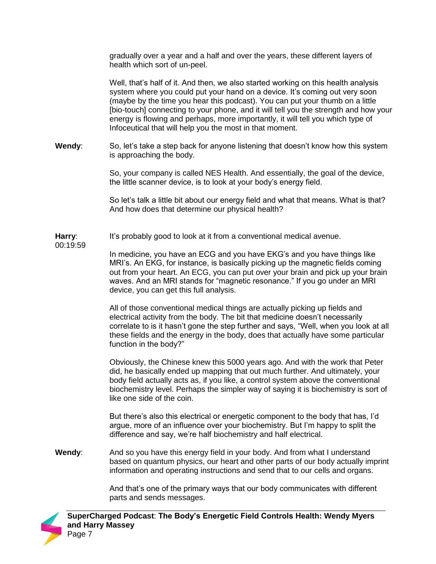gradually over a year and a half and over the years, these different layers of health which sort of un-peel.

Well, that's half of it. And then, we also started working on this health analysis system where you could put your hand on a device. It's coming out very soon (maybe by the time you hear this podcast). You can put your thumb on a little [bio-touch] connecting to your phone, and it will tell you the strength and how your energy is flowing and perhaps, more importantly, it will tell you which type of Infoceutical that will help you the most in that moment.

**Wendy**: So, let's take a step back for anyone listening that doesn't know how this system is approaching the body.

> So, your company is called NES Health. And essentially, the goal of the device, the little scanner device, is to look at your body's energy field.

> So let's talk a little bit about our energy field and what that means. What is that? And how does that determine our physical health?

**Harry**: It's probably good to look at it from a conventional medical avenue.

00:19:59

In medicine, you have an ECG and you have EKG's and you have things like MRI's. An EKG, for instance, is basically picking up the magnetic fields coming out from your heart. An ECG, you can put over your brain and pick up your brain waves. And an MRI stands for "magnetic resonance." If you go under an MRI device, you can get this full analysis.

All of those conventional medical things are actually picking up fields and electrical activity from the body. The bit that medicine doesn't necessarily correlate to is it hasn't gone the step further and says, "Well, when you look at all these fields and the energy in the body, does that actually have some particular function in the body?"

Obviously, the Chinese knew this 5000 years ago. And with the work that Peter did, he basically ended up mapping that out much further. And ultimately, your body field actually acts as, if you like, a control system above the conventional biochemistry level. Perhaps the simpler way of saying it is biochemistry is sort of like one side of the coin.

But there's also this electrical or energetic component to the body that has, I'd argue, more of an influence over your biochemistry. But I'm happy to split the difference and say, we're half biochemistry and half electrical.

**Wendy**: And so you have this energy field in your body. And from what I understand based on quantum physics, our heart and other parts of our body actually imprint information and operating instructions and send that to our cells and organs.

> And that's one of the primary ways that our body communicates with different parts and sends messages.

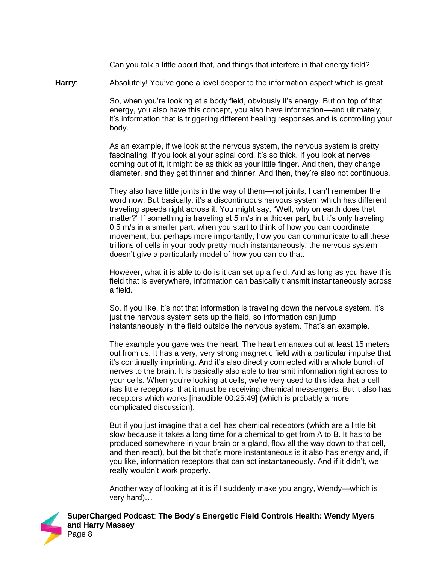Can you talk a little about that, and things that interfere in that energy field?

**Harry**: Absolutely! You've gone a level deeper to the information aspect which is great.

So, when you're looking at a body field, obviously it's energy. But on top of that energy, you also have this concept, you also have information—and ultimately, it's information that is triggering different healing responses and is controlling your body.

As an example, if we look at the nervous system, the nervous system is pretty fascinating. If you look at your spinal cord, it's so thick. If you look at nerves coming out of it, it might be as thick as your little finger. And then, they change diameter, and they get thinner and thinner. And then, they're also not continuous.

They also have little joints in the way of them—not joints, I can't remember the word now. But basically, it's a discontinuous nervous system which has different traveling speeds right across it. You might say, "Well, why on earth does that matter?" If something is traveling at 5 m/s in a thicker part, but it's only traveling 0.5 m/s in a smaller part, when you start to think of how you can coordinate movement, but perhaps more importantly, how you can communicate to all these trillions of cells in your body pretty much instantaneously, the nervous system doesn't give a particularly model of how you can do that.

However, what it is able to do is it can set up a field. And as long as you have this field that is everywhere, information can basically transmit instantaneously across a field.

So, if you like, it's not that information is traveling down the nervous system. It's just the nervous system sets up the field, so information can jump instantaneously in the field outside the nervous system. That's an example.

The example you gave was the heart. The heart emanates out at least 15 meters out from us. It has a very, very strong magnetic field with a particular impulse that it's continually imprinting. And it's also directly connected with a whole bunch of nerves to the brain. It is basically also able to transmit information right across to your cells. When you're looking at cells, we're very used to this idea that a cell has little receptors, that it must be receiving chemical messengers. But it also has receptors which works [inaudible 00:25:49] (which is probably a more complicated discussion).

But if you just imagine that a cell has chemical receptors (which are a little bit slow because it takes a long time for a chemical to get from A to B. It has to be produced somewhere in your brain or a gland, flow all the way down to that cell, and then react), but the bit that's more instantaneous is it also has energy and, if you like, information receptors that can act instantaneously. And if it didn't, we really wouldn't work properly.

Another way of looking at it is if I suddenly make you angry, Wendy—which is very hard)…

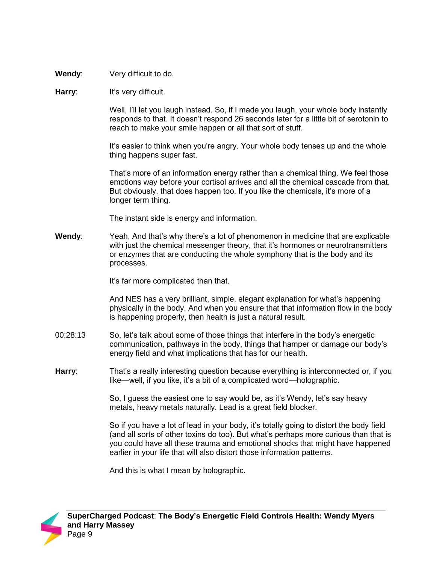**Wendy**: Very difficult to do.

## **Harry:** It's very difficult.

Well, I'll let you laugh instead. So, if I made you laugh, your whole body instantly responds to that. It doesn't respond 26 seconds later for a little bit of serotonin to reach to make your smile happen or all that sort of stuff.

It's easier to think when you're angry. Your whole body tenses up and the whole thing happens super fast.

That's more of an information energy rather than a chemical thing. We feel those emotions way before your cortisol arrives and all the chemical cascade from that. But obviously, that does happen too. If you like the chemicals, it's more of a longer term thing.

The instant side is energy and information.

**Wendy**: Yeah, And that's why there's a lot of phenomenon in medicine that are explicable with just the chemical messenger theory, that it's hormones or neurotransmitters or enzymes that are conducting the whole symphony that is the body and its processes.

It's far more complicated than that.

And NES has a very brilliant, simple, elegant explanation for what's happening physically in the body. And when you ensure that that information flow in the body is happening properly, then health is just a natural result.

- 00:28:13 So, let's talk about some of those things that interfere in the body's energetic communication, pathways in the body, things that hamper or damage our body's energy field and what implications that has for our health.
- **Harry:** That's a really interesting question because everything is interconnected or, if you like—well, if you like, it's a bit of a complicated word—holographic.

So, I guess the easiest one to say would be, as it's Wendy, let's say heavy metals, heavy metals naturally. Lead is a great field blocker.

So if you have a lot of lead in your body, it's totally going to distort the body field (and all sorts of other toxins do too). But what's perhaps more curious than that is you could have all these trauma and emotional shocks that might have happened earlier in your life that will also distort those information patterns.

And this is what I mean by holographic.

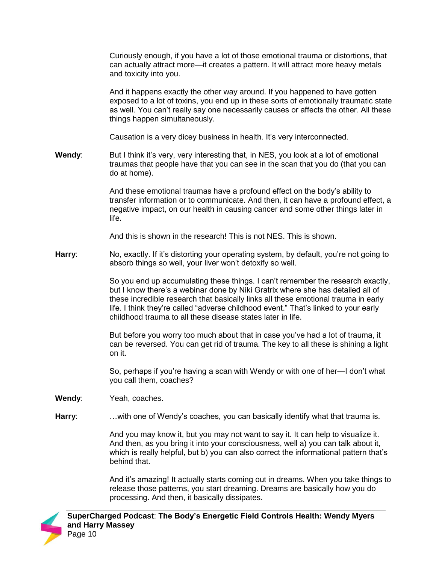Curiously enough, if you have a lot of those emotional trauma or distortions, that can actually attract more—it creates a pattern. It will attract more heavy metals and toxicity into you.

And it happens exactly the other way around. If you happened to have gotten exposed to a lot of toxins, you end up in these sorts of emotionally traumatic state as well. You can't really say one necessarily causes or affects the other. All these things happen simultaneously.

Causation is a very dicey business in health. It's very interconnected.

**Wendy:** But I think it's very, very interesting that, in NES, you look at a lot of emotional traumas that people have that you can see in the scan that you do (that you can do at home).

> And these emotional traumas have a profound effect on the body's ability to transfer information or to communicate. And then, it can have a profound effect, a negative impact, on our health in causing cancer and some other things later in life.

And this is shown in the research! This is not NES. This is shown.

**Harry**: No, exactly. If it's distorting your operating system, by default, you're not going to absorb things so well, your liver won't detoxify so well.

> So you end up accumulating these things. I can't remember the research exactly, but I know there's a webinar done by Niki Gratrix where she has detailed all of these incredible research that basically links all these emotional trauma in early life. I think they're called "adverse childhood event." That's linked to your early childhood trauma to all these disease states later in life.

> But before you worry too much about that in case you've had a lot of trauma, it can be reversed. You can get rid of trauma. The key to all these is shining a light on it.

> So, perhaps if you're having a scan with Wendy or with one of her—I don't what you call them, coaches?

- **Wendy**: Yeah, coaches.
- **Harry**: …with one of Wendy's coaches, you can basically identify what that trauma is.

And you may know it, but you may not want to say it. It can help to visualize it. And then, as you bring it into your consciousness, well a) you can talk about it, which is really helpful, but b) you can also correct the informational pattern that's behind that.

And it's amazing! It actually starts coming out in dreams. When you take things to release those patterns, you start dreaming. Dreams are basically how you do processing. And then, it basically dissipates.

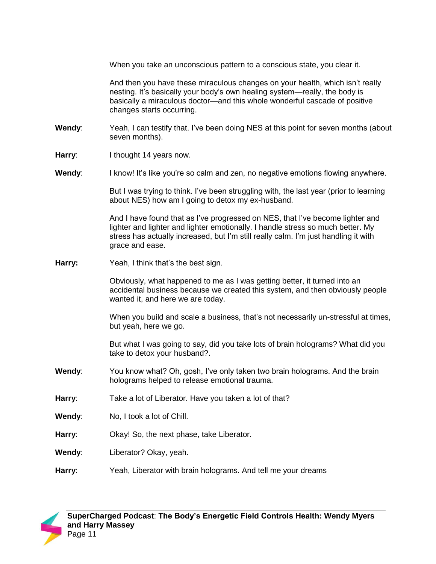When you take an unconscious pattern to a conscious state, you clear it.

And then you have these miraculous changes on your health, which isn't really nesting. It's basically your body's own healing system—really, the body is basically a miraculous doctor—and this whole wonderful cascade of positive changes starts occurring.

- **Wendy**: Yeah, I can testify that. I've been doing NES at this point for seven months (about seven months).
- **Harry:** I thought 14 years now.
- **Wendy:** I know! It's like you're so calm and zen, no negative emotions flowing anywhere.

But I was trying to think. I've been struggling with, the last year (prior to learning about NES) how am I going to detox my ex-husband.

And I have found that as I've progressed on NES, that I've become lighter and lighter and lighter and lighter emotionally. I handle stress so much better. My stress has actually increased, but I'm still really calm. I'm just handling it with grace and ease.

**Harry:** Yeah, I think that's the best sign.

Obviously, what happened to me as I was getting better, it turned into an accidental business because we created this system, and then obviously people wanted it, and here we are today.

When you build and scale a business, that's not necessarily un-stressful at times, but yeah, here we go.

But what I was going to say, did you take lots of brain holograms? What did you take to detox your husband?.

- **Wendy**: You know what? Oh, gosh, I've only taken two brain holograms. And the brain holograms helped to release emotional trauma.
- **Harry**: Take a lot of Liberator. Have you taken a lot of that?
- **Wendy**: No, I took a lot of Chill.
- **Harry**: Okay! So, the next phase, take Liberator.
- **Wendy**: Liberator? Okay, yeah.
- **Harry**: Yeah, Liberator with brain holograms. And tell me your dreams

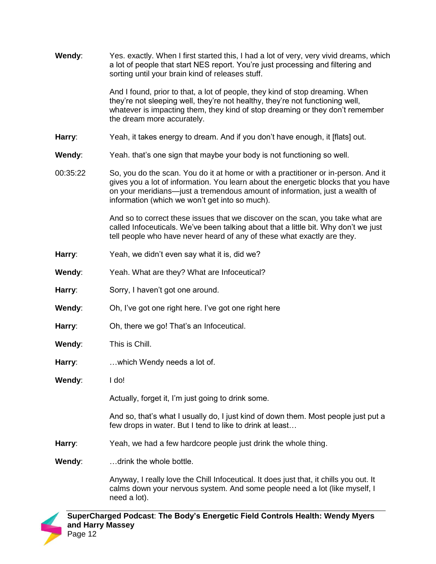| Wendy:   | Yes. exactly. When I first started this, I had a lot of very, very vivid dreams, which<br>a lot of people that start NES report. You're just processing and filtering and<br>sorting until your brain kind of releases stuff.                                                                             |
|----------|-----------------------------------------------------------------------------------------------------------------------------------------------------------------------------------------------------------------------------------------------------------------------------------------------------------|
|          | And I found, prior to that, a lot of people, they kind of stop dreaming. When<br>they're not sleeping well, they're not healthy, they're not functioning well,<br>whatever is impacting them, they kind of stop dreaming or they don't remember<br>the dream more accurately.                             |
| Harry:   | Yeah, it takes energy to dream. And if you don't have enough, it [flats] out.                                                                                                                                                                                                                             |
| Wendy:   | Yeah. that's one sign that maybe your body is not functioning so well.                                                                                                                                                                                                                                    |
| 00:35:22 | So, you do the scan. You do it at home or with a practitioner or in-person. And it<br>gives you a lot of information. You learn about the energetic blocks that you have<br>on your meridians—just a tremendous amount of information, just a wealth of<br>information (which we won't get into so much). |
|          | And so to correct these issues that we discover on the scan, you take what are<br>called Infoceuticals. We've been talking about that a little bit. Why don't we just<br>tell people who have never heard of any of these what exactly are they.                                                          |
| Harry:   | Yeah, we didn't even say what it is, did we?                                                                                                                                                                                                                                                              |
| Wendy:   | Yeah. What are they? What are Infoceutical?                                                                                                                                                                                                                                                               |
| Harry:   | Sorry, I haven't got one around.                                                                                                                                                                                                                                                                          |
| Wendy:   | Oh, I've got one right here. I've got one right here                                                                                                                                                                                                                                                      |
| Harry:   | Oh, there we go! That's an Infoceutical.                                                                                                                                                                                                                                                                  |
| Wendy:   | This is Chill.                                                                                                                                                                                                                                                                                            |
| Harry:   | which Wendy needs a lot of.                                                                                                                                                                                                                                                                               |
| Wendy:   | I do!                                                                                                                                                                                                                                                                                                     |
|          | Actually, forget it, I'm just going to drink some.                                                                                                                                                                                                                                                        |
|          | And so, that's what I usually do, I just kind of down them. Most people just put a<br>few drops in water. But I tend to like to drink at least                                                                                                                                                            |
| Harry:   | Yeah, we had a few hardcore people just drink the whole thing.                                                                                                                                                                                                                                            |
| Wendy:   | drink the whole bottle.                                                                                                                                                                                                                                                                                   |
|          | Anyway, I really love the Chill Infoceutical. It does just that, it chills you out. It<br>calms down your nervous system. And some people need a lot (like myself, I<br>need a lot).                                                                                                                      |

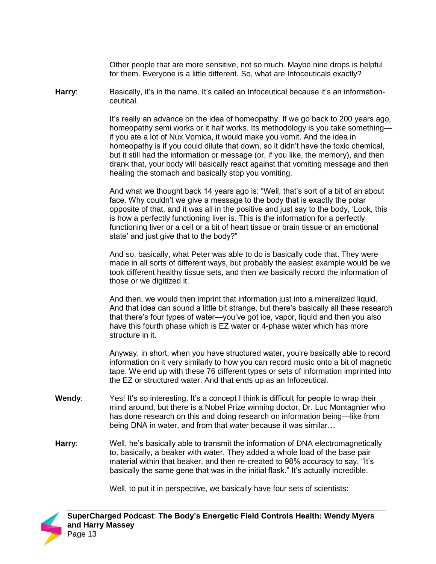Other people that are more sensitive, not so much. Maybe nine drops is helpful for them. Everyone is a little different. So, what are Infoceuticals exactly?

**Harry:** Basically, it's in the name. It's called an Infoceutical because it's an informationceutical.

> It's really an advance on the idea of homeopathy. If we go back to 200 years ago, homeopathy semi works or it half works. Its methodology is you take something if you ate a lot of Nux Vomica, it would make you vomit. And the idea in homeopathy is if you could dilute that down, so it didn't have the toxic chemical, but it still had the information or message (or, if you like, the memory), and then drank that, your body will basically react against that vomiting message and then healing the stomach and basically stop you vomiting.

And what we thought back 14 years ago is: "Well, that's sort of a bit of an about face. Why couldn't we give a message to the body that is exactly the polar opposite of that, and it was all in the positive and just say to the body, 'Look, this is how a perfectly functioning liver is. This is the information for a perfectly functioning liver or a cell or a bit of heart tissue or brain tissue or an emotional state' and just give that to the body?"

And so, basically, what Peter was able to do is basically code that. They were made in all sorts of different ways, but probably the easiest example would be we took different healthy tissue sets, and then we basically record the information of those or we digitized it.

And then, we would then imprint that information just into a mineralized liquid. And that idea can sound a little bit strange, but there's basically all these research that there's four types of water—you've got ice, vapor, liquid and then you also have this fourth phase which is EZ water or 4-phase water which has more structure in it.

Anyway, in short, when you have structured water, you're basically able to record information on it very similarly to how you can record music onto a bit of magnetic tape. We end up with these 76 different types or sets of information imprinted into the EZ or structured water. And that ends up as an Infoceutical.

- **Wendy:** Yes! It's so interesting. It's a concept I think is difficult for people to wrap their mind around, but there is a Nobel Prize winning doctor, Dr. Luc Montagnier who has done research on this and doing research on information being—like from being DNA in water, and from that water because it was similar…
- **Harry**: Well, he's basically able to transmit the information of DNA electromagnetically to, basically, a beaker with water. They added a whole load of the base pair material within that beaker, and then re-created to 98% accuracy to say, "It's basically the same gene that was in the initial flask." It's actually incredible.

Well, to put it in perspective, we basically have four sets of scientists:

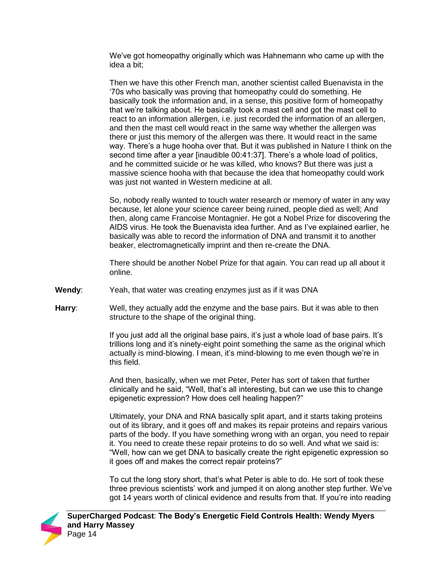We've got homeopathy originally which was Hahnemann who came up with the idea a bit;

Then we have this other French man, another scientist called Buenavista in the '70s who basically was proving that homeopathy could do something. He basically took the information and, in a sense, this positive form of homeopathy that we're talking about. He basically took a mast cell and got the mast cell to react to an information allergen, i.e. just recorded the information of an allergen, and then the mast cell would react in the same way whether the allergen was there or just this memory of the allergen was there. It would react in the same way. There's a huge hooha over that. But it was published in Nature I think on the second time after a year [inaudible 00:41:37]. There's a whole load of politics, and he committed suicide or he was killed, who knows? But there was just a massive science hooha with that because the idea that homeopathy could work was just not wanted in Western medicine at all.

So, nobody really wanted to touch water research or memory of water in any way because, let alone your science career being ruined, people died as well; And then, along came Francoise Montagnier. He got a Nobel Prize for discovering the AIDS virus. He took the Buenavista idea further. And as I've explained earlier, he basically was able to record the information of DNA and transmit it to another beaker, electromagnetically imprint and then re-create the DNA.

There should be another Nobel Prize for that again. You can read up all about it online.

- **Wendy**: Yeah, that water was creating enzymes just as if it was DNA
- **Harry**: Well, they actually add the enzyme and the base pairs. But it was able to then structure to the shape of the original thing.

If you just add all the original base pairs, it's just a whole load of base pairs. It's trillions long and it's ninety-eight point something the same as the original which actually is mind-blowing. I mean, it's mind-blowing to me even though we're in this field.

And then, basically, when we met Peter, Peter has sort of taken that further clinically and he said, "Well, that's all interesting, but can we use this to change epigenetic expression? How does cell healing happen?"

Ultimately, your DNA and RNA basically split apart, and it starts taking proteins out of its library, and it goes off and makes its repair proteins and repairs various parts of the body. If you have something wrong with an organ, you need to repair it. You need to create these repair proteins to do so well. And what we said is: "Well, how can we get DNA to basically create the right epigenetic expression so it goes off and makes the correct repair proteins?"

To cut the long story short, that's what Peter is able to do. He sort of took these three previous scientists' work and jumped it on along another step further. We've got 14 years worth of clinical evidence and results from that. If you're into reading

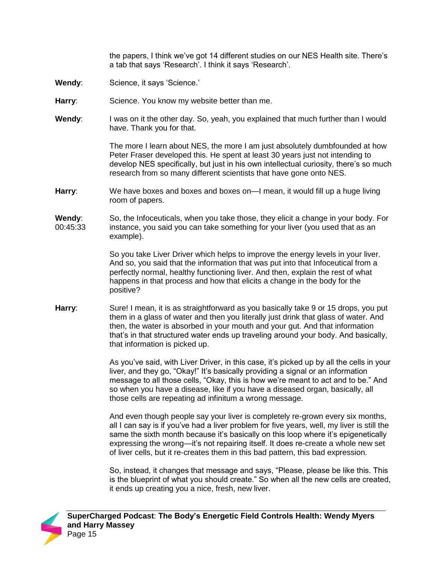the papers, I think we've got 14 different studies on our NES Health site. There's a tab that says 'Research'. I think it says 'Research'.

- **Wendy:** Science, it says 'Science.'
- Harry: Science. You know my website better than me.
- **Wendy:** I was on it the other day. So, yeah, you explained that much further than I would have. Thank you for that.

The more I learn about NES, the more I am just absolutely dumbfounded at how Peter Fraser developed this. He spent at least 30 years just not intending to develop NES specifically, but just in his own intellectual curiosity, there's so much research from so many different scientists that have gone onto NES.

**Harry**: We have boxes and boxes and boxes on—I mean, it would fill up a huge living room of papers.

**Wendy**: 00:45:33 So, the Infoceuticals, when you take those, they elicit a change in your body. For instance, you said you can take something for your liver (you used that as an example).

> So you take Liver Driver which helps to improve the energy levels in your liver. And so, you said that the information that was put into that Infoceutical from a perfectly normal, healthy functioning liver. And then, explain the rest of what happens in that process and how that elicits a change in the body for the positive?

**Harry**: Sure! I mean, it is as straightforward as you basically take 9 or 15 drops, you put them in a glass of water and then you literally just drink that glass of water. And then, the water is absorbed in your mouth and your gut. And that information that's in that structured water ends up traveling around your body. And basically, that information is picked up.

> As you've said, with Liver Driver, in this case, it's picked up by all the cells in your liver, and they go, "Okay!" It's basically providing a signal or an information message to all those cells, "Okay, this is how we're meant to act and to be." And so when you have a disease, like if you have a diseased organ, basically, all those cells are repeating ad infinitum a wrong message.

> And even though people say your liver is completely re-grown every six months, all I can say is if you've had a liver problem for five years, well, my liver is still the same the sixth month because it's basically on this loop where it's epigenetically expressing the wrong—it's not repairing itself. It does re-create a whole new set of liver cells, but it re-creates them in this bad pattern, this bad expression.

> So, instead, it changes that message and says, "Please, please be like this. This is the blueprint of what you should create." So when all the new cells are created, it ends up creating you a nice, fresh, new liver.

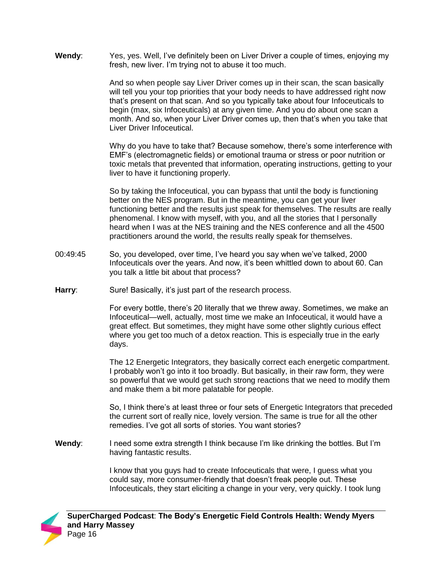**Wendy**: Yes, yes. Well, I've definitely been on Liver Driver a couple of times, enjoying my fresh, new liver. I'm trying not to abuse it too much.

> And so when people say Liver Driver comes up in their scan, the scan basically will tell you your top priorities that your body needs to have addressed right now that's present on that scan. And so you typically take about four Infoceuticals to begin (max, six Infoceuticals) at any given time. And you do about one scan a month. And so, when your Liver Driver comes up, then that's when you take that Liver Driver Infoceutical.

Why do you have to take that? Because somehow, there's some interference with EMF's (electromagnetic fields) or emotional trauma or stress or poor nutrition or toxic metals that prevented that information, operating instructions, getting to your liver to have it functioning properly.

So by taking the Infoceutical, you can bypass that until the body is functioning better on the NES program. But in the meantime, you can get your liver functioning better and the results just speak for themselves. The results are really phenomenal. I know with myself, with you, and all the stories that I personally heard when I was at the NES training and the NES conference and all the 4500 practitioners around the world, the results really speak for themselves.

- 00:49:45 So, you developed, over time, I've heard you say when we've talked, 2000 Infoceuticals over the years. And now, it's been whittled down to about 60. Can you talk a little bit about that process?
- Harry: Sure! Basically, it's just part of the research process.

For every bottle, there's 20 literally that we threw away. Sometimes, we make an Infoceutical—well, actually, most time we make an Infoceutical, it would have a great effect. But sometimes, they might have some other slightly curious effect where you get too much of a detox reaction. This is especially true in the early days.

The 12 Energetic Integrators, they basically correct each energetic compartment. I probably won't go into it too broadly. But basically, in their raw form, they were so powerful that we would get such strong reactions that we need to modify them and make them a bit more palatable for people.

So, I think there's at least three or four sets of Energetic Integrators that preceded the current sort of really nice, lovely version. The same is true for all the other remedies. I've got all sorts of stories. You want stories?

**Wendy**: I need some extra strength I think because I'm like drinking the bottles. But I'm having fantastic results.

> I know that you guys had to create Infoceuticals that were, I guess what you could say, more consumer-friendly that doesn't freak people out. These Infoceuticals, they start eliciting a change in your very, very quickly. I took lung

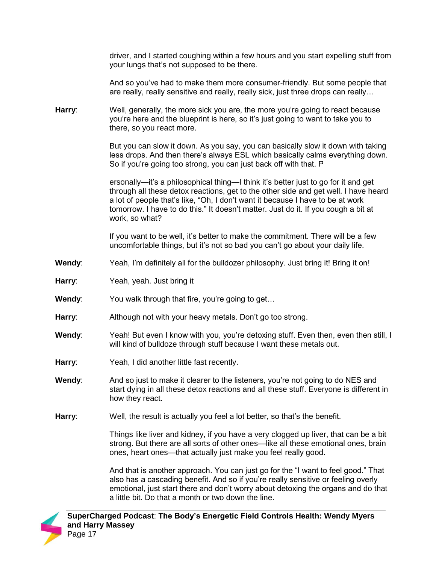driver, and I started coughing within a few hours and you start expelling stuff from your lungs that's not supposed to be there.

And so you've had to make them more consumer-friendly. But some people that are really, really sensitive and really, really sick, just three drops can really…

**Harry**: Well, generally, the more sick you are, the more you're going to react because you're here and the blueprint is here, so it's just going to want to take you to there, so you react more.

> But you can slow it down. As you say, you can basically slow it down with taking less drops. And then there's always ESL which basically calms everything down. So if you're going too strong, you can just back off with that. P

> ersonally—it's a philosophical thing—I think it's better just to go for it and get through all these detox reactions, get to the other side and get well. I have heard a lot of people that's like, "Oh, I don't want it because I have to be at work tomorrow. I have to do this." It doesn't matter. Just do it. If you cough a bit at work, so what?

If you want to be well, it's better to make the commitment. There will be a few uncomfortable things, but it's not so bad you can't go about your daily life.

- **Wendy:** Yeah, I'm definitely all for the bulldozer philosophy. Just bring it! Bring it on!
- **Harry**: Yeah, yeah. Just bring it
- **Wendy:** You walk through that fire, you're going to get...
- **Harry**: Although not with your heavy metals. Don't go too strong.
- **Wendy:** Yeah! But even I know with you, you're detoxing stuff. Even then, even then still, I will kind of bulldoze through stuff because I want these metals out.
- **Harry**: Yeah, I did another little fast recently.
- **Wendy**: And so just to make it clearer to the listeners, you're not going to do NES and start dying in all these detox reactions and all these stuff. Everyone is different in how they react.
- **Harry**: Well, the result is actually you feel a lot better, so that's the benefit.

Things like liver and kidney, if you have a very clogged up liver, that can be a bit strong. But there are all sorts of other ones—like all these emotional ones, brain ones, heart ones—that actually just make you feel really good.

And that is another approach. You can just go for the "I want to feel good." That also has a cascading benefit. And so if you're really sensitive or feeling overly emotional, just start there and don't worry about detoxing the organs and do that a little bit. Do that a month or two down the line.

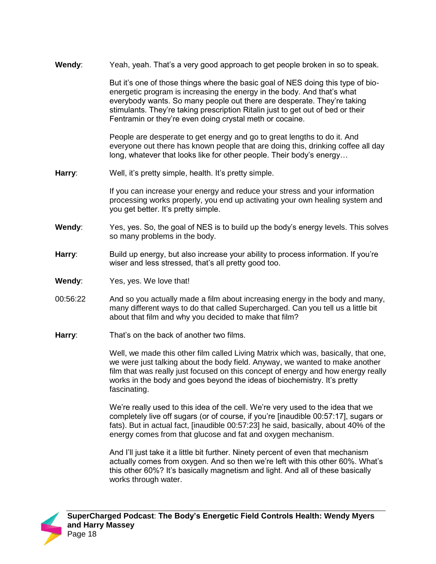**Wendy**: Yeah, yeah. That's a very good approach to get people broken in so to speak.

But it's one of those things where the basic goal of NES doing this type of bioenergetic program is increasing the energy in the body. And that's what everybody wants. So many people out there are desperate. They're taking stimulants. They're taking prescription Ritalin just to get out of bed or their Fentramin or they're even doing crystal meth or cocaine.

People are desperate to get energy and go to great lengths to do it. And everyone out there has known people that are doing this, drinking coffee all day long, whatever that looks like for other people. Their body's energy…

**Harry**: Well, it's pretty simple, health. It's pretty simple.

If you can increase your energy and reduce your stress and your information processing works properly, you end up activating your own healing system and you get better. It's pretty simple.

- **Wendy**: Yes, yes. So, the goal of NES is to build up the body's energy levels. This solves so many problems in the body.
- Harry: Build up energy, but also increase your ability to process information. If you're wiser and less stressed, that's all pretty good too.
- **Wendy**: Yes, yes. We love that!
- 00:56:22 And so you actually made a film about increasing energy in the body and many, many different ways to do that called Supercharged. Can you tell us a little bit about that film and why you decided to make that film?
- **Harry**: That's on the back of another two films.

Well, we made this other film called Living Matrix which was, basically, that one, we were just talking about the body field. Anyway, we wanted to make another film that was really just focused on this concept of energy and how energy really works in the body and goes beyond the ideas of biochemistry. It's pretty fascinating.

We're really used to this idea of the cell. We're very used to the idea that we completely live off sugars (or of course, if you're [inaudible 00:57:17], sugars or fats). But in actual fact, [inaudible 00:57:23] he said, basically, about 40% of the energy comes from that glucose and fat and oxygen mechanism.

And I'll just take it a little bit further. Ninety percent of even that mechanism actually comes from oxygen. And so then we're left with this other 60%. What's this other 60%? It's basically magnetism and light. And all of these basically works through water.

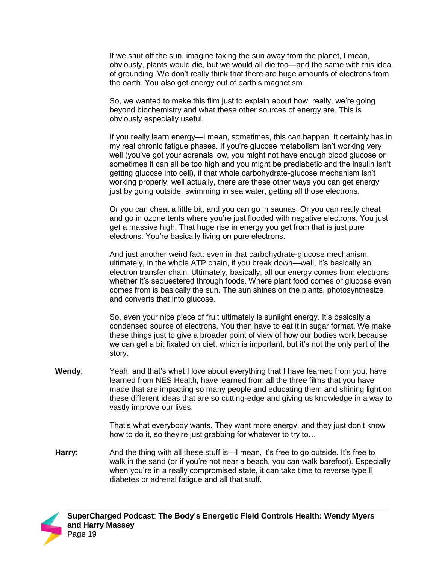If we shut off the sun, imagine taking the sun away from the planet, I mean, obviously, plants would die, but we would all die too—and the same with this idea of grounding. We don't really think that there are huge amounts of electrons from the earth. You also get energy out of earth's magnetism.

So, we wanted to make this film just to explain about how, really, we're going beyond biochemistry and what these other sources of energy are. This is obviously especially useful.

If you really learn energy—I mean, sometimes, this can happen. It certainly has in my real chronic fatigue phases. If you're glucose metabolism isn't working very well (you've got your adrenals low, you might not have enough blood glucose or sometimes it can all be too high and you might be prediabetic and the insulin isn't getting glucose into cell), if that whole carbohydrate-glucose mechanism isn't working properly, well actually, there are these other ways you can get energy just by going outside, swimming in sea water, getting all those electrons.

Or you can cheat a little bit, and you can go in saunas. Or you can really cheat and go in ozone tents where you're just flooded with negative electrons. You just get a massive high. That huge rise in energy you get from that is just pure electrons. You're basically living on pure electrons.

And just another weird fact: even in that carbohydrate-glucose mechanism, ultimately, in the whole ATP chain, if you break down—well, it's basically an electron transfer chain. Ultimately, basically, all our energy comes from electrons whether it's sequestered through foods. Where plant food comes or glucose even comes from is basically the sun. The sun shines on the plants, photosynthesize and converts that into glucose.

So, even your nice piece of fruit ultimately is sunlight energy. It's basically a condensed source of electrons. You then have to eat it in sugar format. We make these things just to give a broader point of view of how our bodies work because we can get a bit fixated on diet, which is important, but it's not the only part of the story.

**Wendy**: Yeah, and that's what I love about everything that I have learned from you, have learned from NES Health, have learned from all the three films that you have made that are impacting so many people and educating them and shining light on these different ideas that are so cutting-edge and giving us knowledge in a way to vastly improve our lives.

> That's what everybody wants. They want more energy, and they just don't know how to do it, so they're just grabbing for whatever to try to…

**Harry:** And the thing with all these stuff is—I mean, it's free to go outside. It's free to walk in the sand (or if you're not near a beach, you can walk barefoot). Especially when you're in a really compromised state, it can take time to reverse type II diabetes or adrenal fatigue and all that stuff.